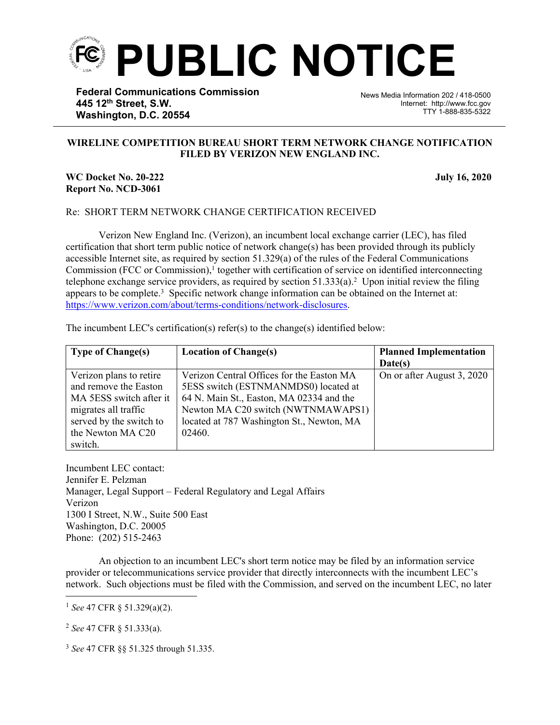

**Federal Communications Commission 445 12th Street, S.W. Washington, D.C. 20554**

News Media Information 202 / 418-0500 Internet: http://www.fcc.gov TTY 1-888-835-5322

## **WIRELINE COMPETITION BUREAU SHORT TERM NETWORK CHANGE NOTIFICATION FILED BY VERIZON NEW ENGLAND INC.**

֡֡֡֡

## **WC Docket No. 20-222** July 16, 2020 **Report No. NCD-3061**

## Re: SHORT TERM NETWORK CHANGE CERTIFICATION RECEIVED

Verizon New England Inc. (Verizon), an incumbent local exchange carrier (LEC), has filed certification that short term public notice of network change(s) has been provided through its publicly accessible Internet site, as required by section 51.329(a) of the rules of the Federal Communications Commission (FCC or Commission),<sup>1</sup> together with certification of service on identified interconnecting telephone exchange service providers, as required by section  $51.333(a)$ .<sup>2</sup> Upon initial review the filing appears to be complete.<sup>3</sup> Specific network change information can be obtained on the Internet at: [https://www.verizon.com/about/terms-conditions/network-disclosures.](https://www.verizon.com/about/terms-conditions/network-disclosures)

| <b>Type of Change(s)</b> | <b>Location of Change(s)</b>              | <b>Planned Implementation</b> |
|--------------------------|-------------------------------------------|-------------------------------|
|                          |                                           | Date(s)                       |
| Verizon plans to retire  | Verizon Central Offices for the Easton MA | On or after August 3, 2020    |
| and remove the Easton    | 5ESS switch (ESTNMANMDS0) located at      |                               |
| MA 5ESS switch after it  | 64 N. Main St., Easton, MA 02334 and the  |                               |
| migrates all traffic     | Newton MA C20 switch (NWTNMAWAPS1)        |                               |
| served by the switch to  | located at 787 Washington St., Newton, MA |                               |
| the Newton MA C20        | 02460.                                    |                               |
| switch.                  |                                           |                               |

The incumbent LEC's certification(s) refer(s) to the change(s) identified below:

Incumbent LEC contact: Jennifer E. Pelzman Manager, Legal Support – Federal Regulatory and Legal Affairs Verizon 1300 I Street, N.W., Suite 500 East Washington, D.C. 20005 Phone: (202) 515-2463

An objection to an incumbent LEC's short term notice may be filed by an information service provider or telecommunications service provider that directly interconnects with the incumbent LEC's network. Such objections must be filed with the Commission, and served on the incumbent LEC, no later

<sup>2</sup> *See* 47 CFR § 51.333(a).

<sup>3</sup> *See* 47 CFR §§ 51.325 through 51.335.

<sup>1</sup> *See* 47 CFR § 51.329(a)(2).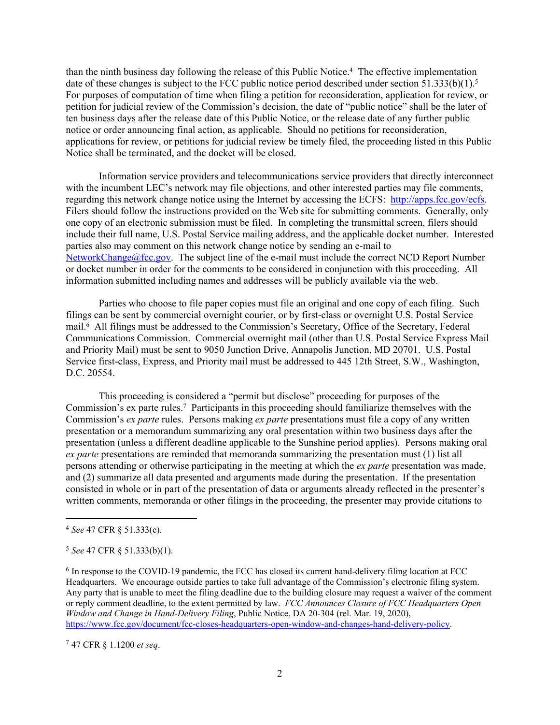than the ninth business day following the release of this Public Notice.<sup>4</sup> The effective implementation date of these changes is subject to the FCC public notice period described under section 51.333(b)(1).<sup>5</sup> For purposes of computation of time when filing a petition for reconsideration, application for review, or petition for judicial review of the Commission's decision, the date of "public notice" shall be the later of ten business days after the release date of this Public Notice, or the release date of any further public notice or order announcing final action, as applicable. Should no petitions for reconsideration, applications for review, or petitions for judicial review be timely filed, the proceeding listed in this Public Notice shall be terminated, and the docket will be closed.

Information service providers and telecommunications service providers that directly interconnect with the incumbent LEC's network may file objections, and other interested parties may file comments, regarding this network change notice using the Internet by accessing the ECFS: [http://apps.fcc.gov/ecfs.](http://apps.fcc.gov/ecfs) Filers should follow the instructions provided on the Web site for submitting comments. Generally, only one copy of an electronic submission must be filed. In completing the transmittal screen, filers should include their full name, U.S. Postal Service mailing address, and the applicable docket number. Interested parties also may comment on this network change notice by sending an e-mail to [NetworkChange@fcc.gov.](mailto:NetworkChange@fcc.gov) The subject line of the e-mail must include the correct NCD Report Number or docket number in order for the comments to be considered in conjunction with this proceeding. All information submitted including names and addresses will be publicly available via the web.

Parties who choose to file paper copies must file an original and one copy of each filing. Such filings can be sent by commercial overnight courier, or by first-class or overnight U.S. Postal Service mail.<sup>6</sup> All filings must be addressed to the Commission's Secretary, Office of the Secretary, Federal Communications Commission. Commercial overnight mail (other than U.S. Postal Service Express Mail and Priority Mail) must be sent to 9050 Junction Drive, Annapolis Junction, MD 20701. U.S. Postal Service first-class, Express, and Priority mail must be addressed to 445 12th Street, S.W., Washington, D.C. 20554.

This proceeding is considered a "permit but disclose" proceeding for purposes of the Commission's ex parte rules.<sup>7</sup> Participants in this proceeding should familiarize themselves with the Commission's *ex parte* rules. Persons making *ex parte* presentations must file a copy of any written presentation or a memorandum summarizing any oral presentation within two business days after the presentation (unless a different deadline applicable to the Sunshine period applies). Persons making oral *ex parte* presentations are reminded that memoranda summarizing the presentation must (1) list all persons attending or otherwise participating in the meeting at which the *ex parte* presentation was made, and (2) summarize all data presented and arguments made during the presentation. If the presentation consisted in whole or in part of the presentation of data or arguments already reflected in the presenter's written comments, memoranda or other filings in the proceeding, the presenter may provide citations to

<sup>7</sup> 47 CFR § 1.1200 *et seq*.

<sup>4</sup> *See* 47 CFR § 51.333(c).

<sup>5</sup> *See* 47 CFR § 51.333(b)(1).

<sup>&</sup>lt;sup>6</sup> In response to the COVID-19 pandemic, the FCC has closed its current hand-delivery filing location at FCC Headquarters. We encourage outside parties to take full advantage of the Commission's electronic filing system. Any party that is unable to meet the filing deadline due to the building closure may request a waiver of the comment or reply comment deadline, to the extent permitted by law. *FCC Announces Closure of FCC Headquarters Open Window and Change in Hand-Delivery Filing*, Public Notice, DA 20-304 (rel. Mar. 19, 2020), [https://www.fcc.gov/document/fcc-closes-headquarters-open-window-and-changes-hand-delivery-policy.](https://www.fcc.gov/document/fcc-closes-headquarters-open-window-and-changes-hand-delivery-policy)